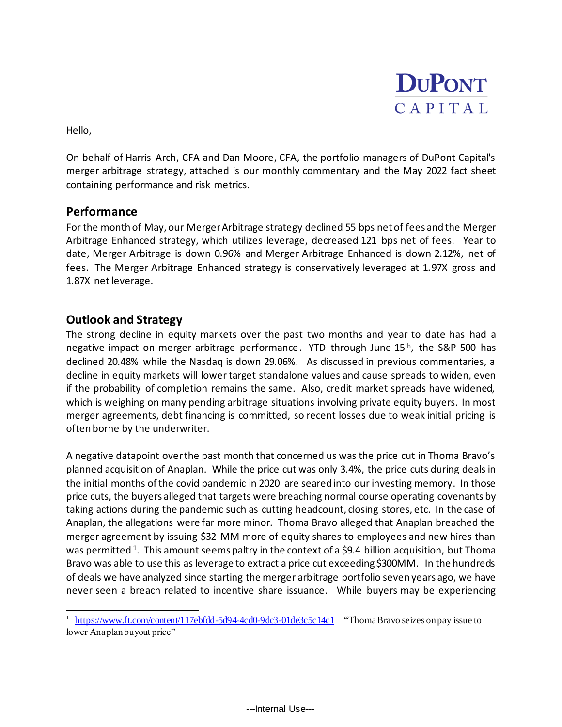

Hello,

On behalf of Harris Arch, CFA and Dan Moore, CFA, the portfolio managers of DuPont Capital's merger arbitrage strategy, attached is our monthly commentary and the May 2022 fact sheet containing performance and risk metrics.

## **Performance**

For the month of May, our Merger Arbitrage strategy declined 55 bps net of fees and the Merger Arbitrage Enhanced strategy, which utilizes leverage, decreased 121 bps net of fees. Year to date, Merger Arbitrage is down 0.96% and Merger Arbitrage Enhanced is down 2.12%, net of fees. The Merger Arbitrage Enhanced strategy is conservatively leveraged at 1.97X gross and 1.87X net leverage.

## **Outlook and Strategy**

The strong decline in equity markets over the past two months and year to date has had a negative impact on merger arbitrage performance. YTD through June 15<sup>th</sup>, the S&P 500 has declined 20.48% while the Nasdaq is down 29.06%. As discussed in previous commentaries, a decline in equity markets will lower target standalone values and cause spreads to widen, even if the probability of completion remains the same. Also, credit market spreads have widened, which is weighing on many pending arbitrage situations involving private equity buyers. In most merger agreements, debt financing is committed, so recent losses due to weak initial pricing is often borne by the underwriter.

A negative datapoint over the past month that concerned us was the price cut in Thoma Bravo's planned acquisition of Anaplan. While the price cut was only 3.4%, the price cuts during deals in the initial months of the covid pandemic in 2020 are seared into our investing memory. In those price cuts, the buyers alleged that targets were breaching normal course operating covenants by taking actions during the pandemic such as cutting headcount, closing stores, etc. In the case of Anaplan, the allegations were far more minor. Thoma Bravo alleged that Anaplan breached the merger agreement by issuing \$32 MM more of equity shares to employees and new hires than was permitted <sup>1</sup>. This amount seems paltry in the context of a \$9.4 billion acquisition, but Thoma Bravo was able to use this as leverage to extract a price cut exceeding \$300MM. In the hundreds of deals we have analyzed since starting the merger arbitrage portfolio seven years ago, we have never seen a breach related to incentive share issuance. While buyers may be experiencing

<sup>&</sup>lt;sup>1</sup> <https://www.ft.com/content/117ebfdd-5d94-4cd0-9dc3-01de3c5c14c1> "Thoma Bravo seizes on pay issue to lower Anaplan buyout price"